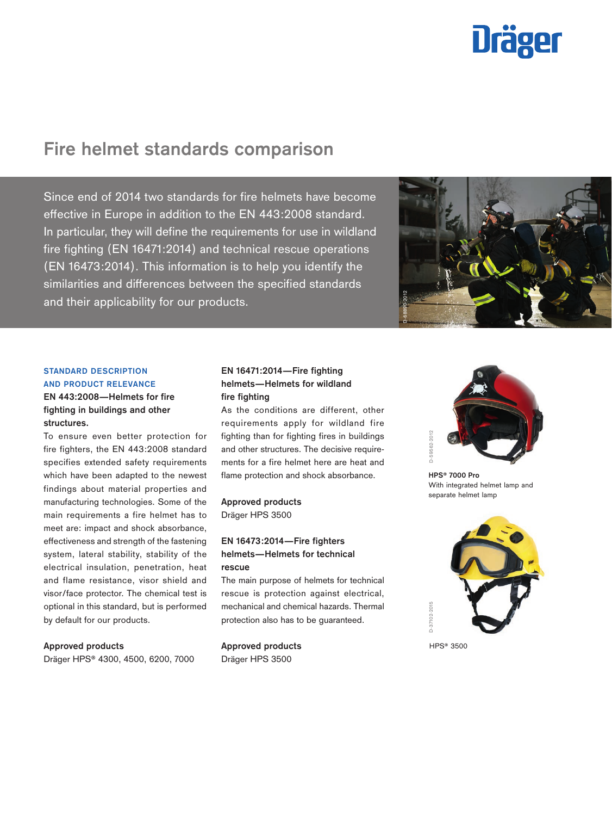# **Dräger**

# **Fire helmet standards comparison**

Since end of 2014 two standards for fire helmets have become effective in Europe in addition to the EN 443:2008 standard. In particular, they will define the requirements for use in wildland fire fighting (EN 16471:2014) and technical rescue operations (EN 16473:2014). This information is to help you identify the similarities and differences between the specified standards and their applicability for our products.



# **STANDARD DESCRIPTION AND PRODUCT RELEVANCE EN 443:2008—Helmets for fire fighting in buildings and other structures.**

To ensure even better protection for fire fighters, the EN 443:2008 standard specifies extended safety requirements which have been adapted to the newest findings about material properties and manufacturing technologies. Some of the main requirements a fire helmet has to meet are: impact and shock absorbance, effectiveness and strength of the fastening system, lateral stability, stability of the electrical insulation, penetration, heat and flame resistance, visor shield and visor/face protector. The chemical test is optional in this standard, but is performed by default for our products.

#### **Approved products**

Dräger HPS® 4300, 4500, 6200, 7000

## **EN 16471:2014—Fire fighting helmets—Helmets for wildland fire fighting**

As the conditions are different, other requirements apply for wildland fire fighting than for fighting fires in buildings and other structures. The decisive requirements for a fire helmet here are heat and flame protection and shock absorbance.

# **Approved products**

Dräger HPS 3500

### **EN 16473:2014—Fire fighters helmets—Helmets for technical rescue**

The main purpose of helmets for technical rescue is protection against electrical, mechanical and chemical hazards. Thermal protection also has to be guaranteed.

**Approved products** Dräger HPS 3500



**HPS® 7000 Pro** With integrated helmet lamp and separate helmet lamp



HPS<sup>®</sup> 3500